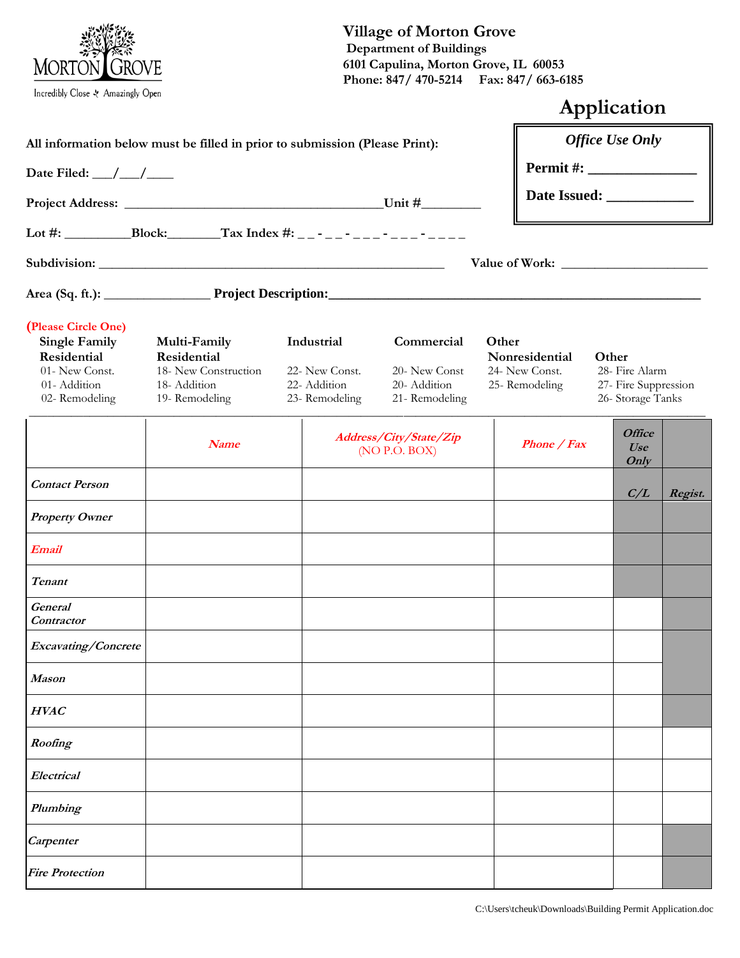

# **Village of Morton Grove Department of Buildings 6101 Capulina, Morton Grove, IL 60053 Phone: 847/ 470-5214 Fax: 847/ 663-6185**

|                                                                                                                                     |                                                                                     |                                                               |                                                              |                                                            | Application                                                          |  |
|-------------------------------------------------------------------------------------------------------------------------------------|-------------------------------------------------------------------------------------|---------------------------------------------------------------|--------------------------------------------------------------|------------------------------------------------------------|----------------------------------------------------------------------|--|
| All information below must be filled in prior to submission (Please Print):<br>Date Filed: $\_\_\_\_\_\_\_\_\_\_\_\_\_\_\_\_\_\_\_$ |                                                                                     |                                                               |                                                              |                                                            | <b>Office Use Only</b>                                               |  |
|                                                                                                                                     |                                                                                     |                                                               |                                                              |                                                            |                                                                      |  |
|                                                                                                                                     |                                                                                     |                                                               |                                                              |                                                            |                                                                      |  |
|                                                                                                                                     |                                                                                     |                                                               |                                                              |                                                            |                                                                      |  |
|                                                                                                                                     |                                                                                     |                                                               |                                                              |                                                            |                                                                      |  |
|                                                                                                                                     |                                                                                     |                                                               |                                                              |                                                            |                                                                      |  |
| (Please Circle One)<br><b>Single Family</b><br>Residential<br>01- New Const.<br>01-Addition<br>02-Remodeling                        | Multi-Family<br>Residential<br>18- New Construction<br>18-Addition<br>19-Remodeling | Industrial<br>22- New Const.<br>22- Addition<br>23-Remodeling | Commercial<br>20- New Const<br>20- Addition<br>21-Remodeling | Other<br>Nonresidential<br>24- New Const.<br>25-Remodeling | Other<br>28- Fire Alarm<br>27- Fire Suppression<br>26- Storage Tanks |  |
|                                                                                                                                     | <b>Name</b>                                                                         |                                                               | Address/City/State/Zip<br>(NO P.O. BOX)                      | Phone / Fax                                                | <b>Office</b><br>Use<br>Only                                         |  |
| <b>Contact Person</b>                                                                                                               |                                                                                     |                                                               |                                                              |                                                            | C/L<br>Regist.                                                       |  |
| <b>Property Owner</b>                                                                                                               |                                                                                     |                                                               |                                                              |                                                            |                                                                      |  |
| <b>Email</b>                                                                                                                        |                                                                                     |                                                               |                                                              |                                                            |                                                                      |  |
| Tenant                                                                                                                              |                                                                                     |                                                               |                                                              |                                                            |                                                                      |  |
| <b>General</b><br>Contractor                                                                                                        |                                                                                     |                                                               |                                                              |                                                            |                                                                      |  |
| <b>Excavating/Concrete</b>                                                                                                          |                                                                                     |                                                               |                                                              |                                                            |                                                                      |  |
| Mason                                                                                                                               |                                                                                     |                                                               |                                                              |                                                            |                                                                      |  |
| <b>HVAC</b>                                                                                                                         |                                                                                     |                                                               |                                                              |                                                            |                                                                      |  |
| Roofing                                                                                                                             |                                                                                     |                                                               |                                                              |                                                            |                                                                      |  |
| Electrical                                                                                                                          |                                                                                     |                                                               |                                                              |                                                            |                                                                      |  |
| Plumbing                                                                                                                            |                                                                                     |                                                               |                                                              |                                                            |                                                                      |  |
| Carpenter                                                                                                                           |                                                                                     |                                                               |                                                              |                                                            |                                                                      |  |
| <b>Fire Protection</b>                                                                                                              |                                                                                     |                                                               |                                                              |                                                            |                                                                      |  |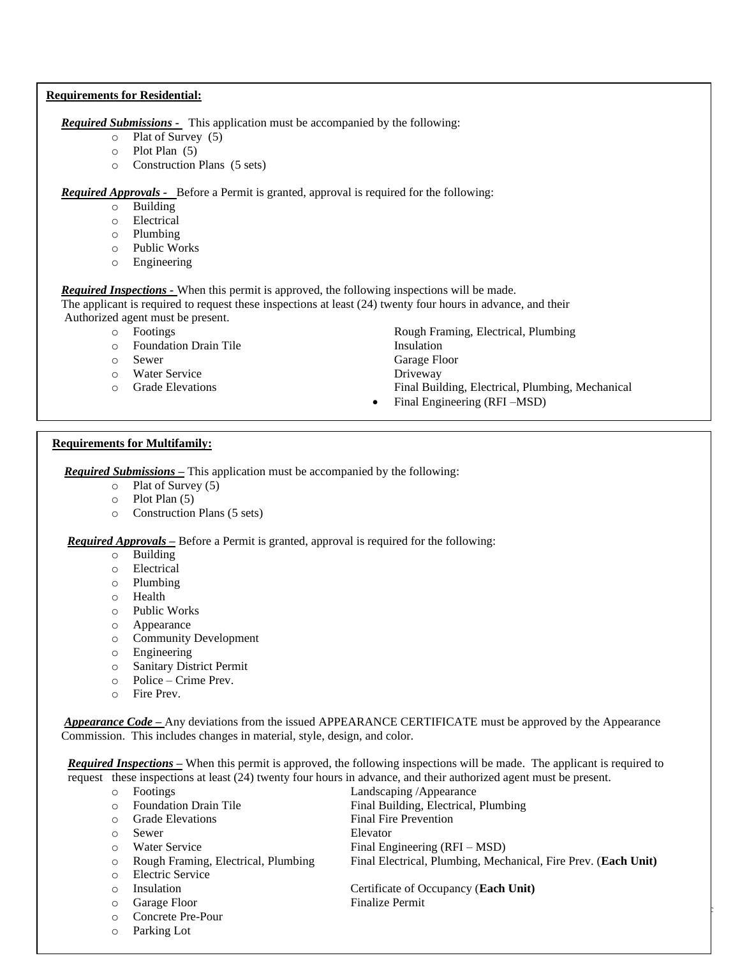#### **Requirements for Residential:**

*Required Submissions -* This application must be accompanied by the following:

- o Plat of Survey (5)
- o Plot Plan (5)
- o Construction Plans (5 sets)

*Required Approvals -* Before a Permit is granted, approval is required for the following:

- o Building
- o Electrical
- o Plumbing
- o Public Works
- o Engineering

*Required Inspections -* When this permit is approved, the following inspections will be made.

 The applicant is required to request these inspections at least (24) twenty four hours in advance, and their Authorized agent must be present.

- - o Foundation Drain Tile Insulation
	-
- o Water Service Driveway
- 
- o Footings Rough Framing, Electrical, Plumbing o Sewer Garage Floor o Grade Elevations Final Building, Electrical, Plumbing, Mechanical
	- Final Engineering (RFI –MSD)

## **Requirements for Multifamily:**

*Required Submissions –* This application must be accompanied by the following:

- o Plat of Survey (5)
- o Plot Plan (5)
- o Construction Plans (5 sets)

*Required Approvals –* Before a Permit is granted, approval is required for the following:

- o Building
- o Electrical
- o Plumbing
- o Health
- o Public Works
- o Appearance
- o Community Development
- o Engineering
- o Sanitary District Permit
- o Police Crime Prev.
- o Fire Prev.

 *Appearance Code –* Any deviations from the issued APPEARANCE CERTIFICATE must be approved by the Appearance Commission. This includes changes in material, style, design, and color.

*Required Inspections –* When this permit is approved, the following inspections will be made. The applicant is required to request these inspections at least (24) twenty four hours in advance, and their authorized agent must be present.

- o Footings Landscaping /Appearance o Foundation Drain Tile Final Building, Electrical, Plumbing o Grade Elevations Final Fire Prevention o Sewer Elevator o Water Service Final Engineering (RFI – MSD) o Rough Framing, Electrical, Plumbing Final Electrical, Plumbing, Mechanical, Fire Prev. (**Each Unit)**
- $\mathcal{C}$ o Insulation Certificate of Occupancy (**Each Unit)** o Garage Floor Finalize Permit
- o Concrete Pre-Pour o Parking Lot

o Electric Service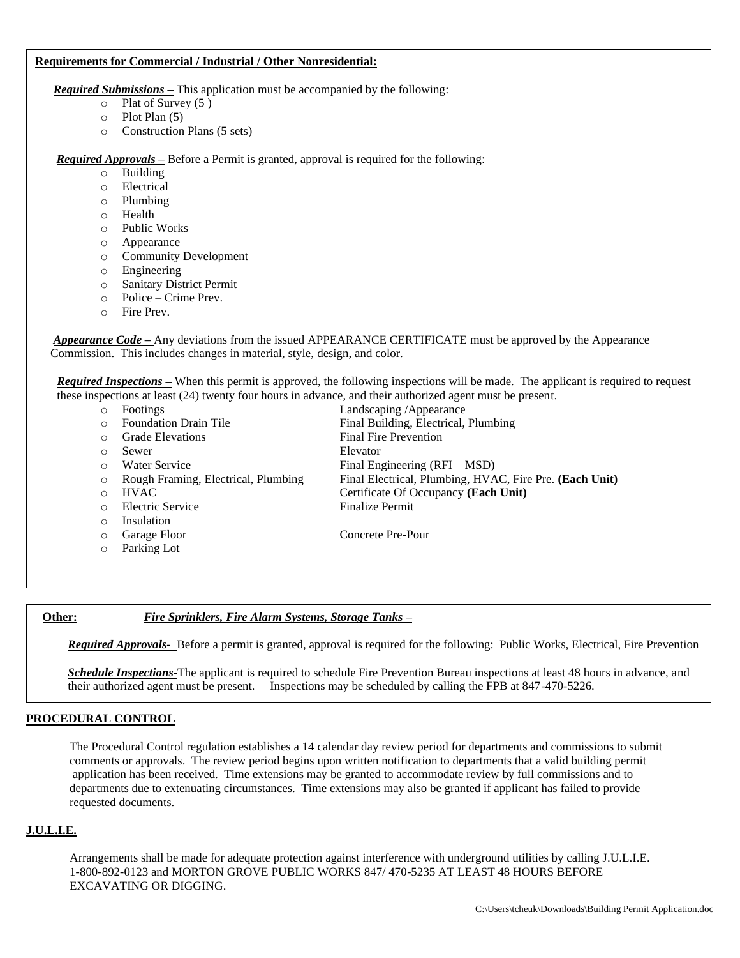#### **Requirements for Commercial / Industrial / Other Nonresidential:**

*Required Submissions –* This application must be accompanied by the following:

- o Plat of Survey (5 )
- o Plot Plan (5)
- o Construction Plans (5 sets)

*Required Approvals –* Before a Permit is granted, approval is required for the following:

- o Building
- o Electrical
- o Plumbing
- o Health
- o Public Works
- o Appearance
- o Community Development
- o Engineering
- o Sanitary District Permit
- o Police Crime Prev.
- o Fire Prev.

 *Appearance Code –* Any deviations from the issued APPEARANCE CERTIFICATE must be approved by the Appearance Commission. This includes changes in material, style, design, and color.

*Required Inspections –* When this permit is approved, the following inspections will be made. The applicant is required to request these inspections at least (24) twenty four hours in advance, and their authorized agent must be present.

o Footings Landscaping /Appearance o Foundation Drain Tile Final Building, Electrical, Plumbing o Grade Elevations Final Fire Prevention o Sewer Elevator o Water Service Final Engineering (RFI – MSD) o Rough Framing, Electrical, Plumbing Final Electrical, Plumbing, HVAC, Fire Pre. **(Each Unit)** o HVAC Certificate Of Occupancy **(Each Unit)** o Electric Service Finalize Permit o Insulation o Garage Floor Concrete Pre-Pour o Parking Lot

#### **Other:** *Fire Sprinklers, Fire Alarm Systems, Storage Tanks –*

*Required Approvals-* Before a permit is granted, approval is required for the following: Public Works, Electrical, Fire Prevention

*Schedule Inspections-*The applicant is required to schedule Fire Prevention Bureau inspections at least 48 hours in advance, and their authorized agent must be present. Inspections may be scheduled by calling the FPB at 847-470-5226.

## **PROCEDURAL CONTROL**

The Procedural Control regulation establishes a 14 calendar day review period for departments and commissions to submit comments or approvals. The review period begins upon written notification to departments that a valid building permit application has been received. Time extensions may be granted to accommodate review by full commissions and to departments due to extenuating circumstances. Time extensions may also be granted if applicant has failed to provide requested documents.

#### **J.U.L.I.E.**

 $\overline{a}$ 

Arrangements shall be made for adequate protection against interference with underground utilities by calling J.U.L.I.E. 1-800-892-0123 and MORTON GROVE PUBLIC WORKS 847/ 470-5235 AT LEAST 48 HOURS BEFORE EXCAVATING OR DIGGING.